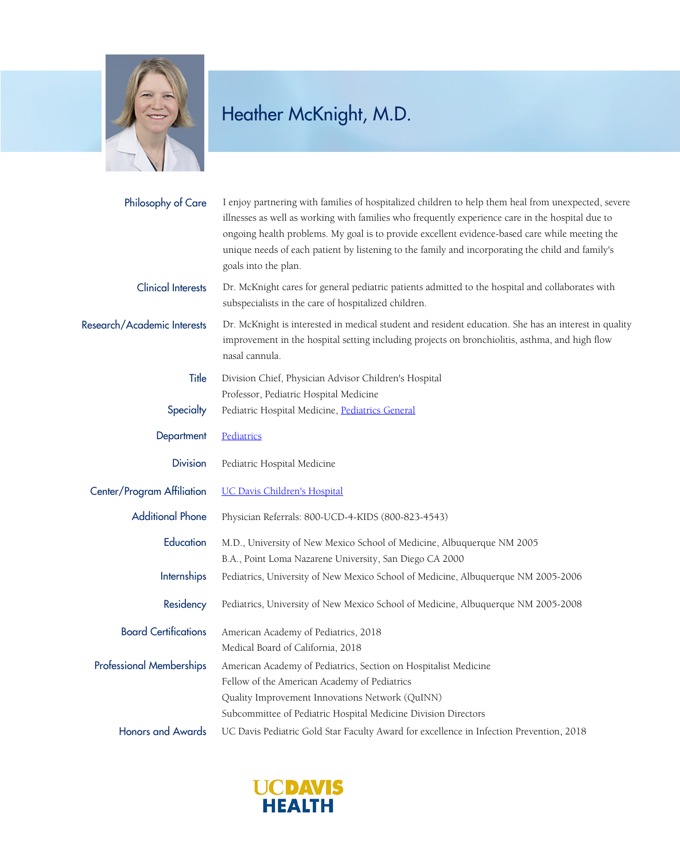

## Heather McKnight, M.D.

| Philosophy of Care              | I enjoy partnering with families of hospitalized children to help them heal from unexpected, severe<br>illnesses as well as working with families who frequently experience care in the hospital due to<br>ongoing health problems. My goal is to provide excellent evidence-based care while meeting the<br>unique needs of each patient by listening to the family and incorporating the child and family's<br>goals into the plan. |
|---------------------------------|---------------------------------------------------------------------------------------------------------------------------------------------------------------------------------------------------------------------------------------------------------------------------------------------------------------------------------------------------------------------------------------------------------------------------------------|
| <b>Clinical Interests</b>       | Dr. McKnight cares for general pediatric patients admitted to the hospital and collaborates with<br>subspecialists in the care of hospitalized children.                                                                                                                                                                                                                                                                              |
| Research/Academic Interests     | Dr. McKnight is interested in medical student and resident education. She has an interest in quality<br>improvement in the hospital setting including projects on bronchiolitis, asthma, and high flow<br>nasal cannula.                                                                                                                                                                                                              |
| Title                           | Division Chief, Physician Advisor Children's Hospital                                                                                                                                                                                                                                                                                                                                                                                 |
|                                 | Professor, Pediatric Hospital Medicine                                                                                                                                                                                                                                                                                                                                                                                                |
| Specialty                       | Pediatric Hospital Medicine, Pediatrics General                                                                                                                                                                                                                                                                                                                                                                                       |
| Department                      | Pediatrics                                                                                                                                                                                                                                                                                                                                                                                                                            |
| <b>Division</b>                 | Pediatric Hospital Medicine                                                                                                                                                                                                                                                                                                                                                                                                           |
| Center/Program Affiliation      | <b>UC Davis Children's Hospital</b>                                                                                                                                                                                                                                                                                                                                                                                                   |
| <b>Additional Phone</b>         | Physician Referrals: 800-UCD-4-KIDS (800-823-4543)                                                                                                                                                                                                                                                                                                                                                                                    |
| Education                       | M.D., University of New Mexico School of Medicine, Albuquerque NM 2005                                                                                                                                                                                                                                                                                                                                                                |
|                                 | B.A., Point Loma Nazarene University, San Diego CA 2000                                                                                                                                                                                                                                                                                                                                                                               |
| <b>Internships</b>              | Pediatrics, University of New Mexico School of Medicine, Albuquerque NM 2005-2006                                                                                                                                                                                                                                                                                                                                                     |
| Residency                       | Pediatrics, University of New Mexico School of Medicine, Albuquerque NM 2005-2008                                                                                                                                                                                                                                                                                                                                                     |
| <b>Board Certifications</b>     | American Academy of Pediatrics, 2018                                                                                                                                                                                                                                                                                                                                                                                                  |
|                                 | Medical Board of California, 2018                                                                                                                                                                                                                                                                                                                                                                                                     |
| <b>Professional Memberships</b> | American Academy of Pediatrics, Section on Hospitalist Medicine                                                                                                                                                                                                                                                                                                                                                                       |
|                                 | Fellow of the American Academy of Pediatrics                                                                                                                                                                                                                                                                                                                                                                                          |
|                                 | Quality Improvement Innovations Network (QuINN)                                                                                                                                                                                                                                                                                                                                                                                       |
|                                 | Subcommittee of Pediatric Hospital Medicine Division Directors                                                                                                                                                                                                                                                                                                                                                                        |
| <b>Honors and Awards</b>        | UC Davis Pediatric Gold Star Faculty Award for excellence in Infection Prevention, 2018                                                                                                                                                                                                                                                                                                                                               |